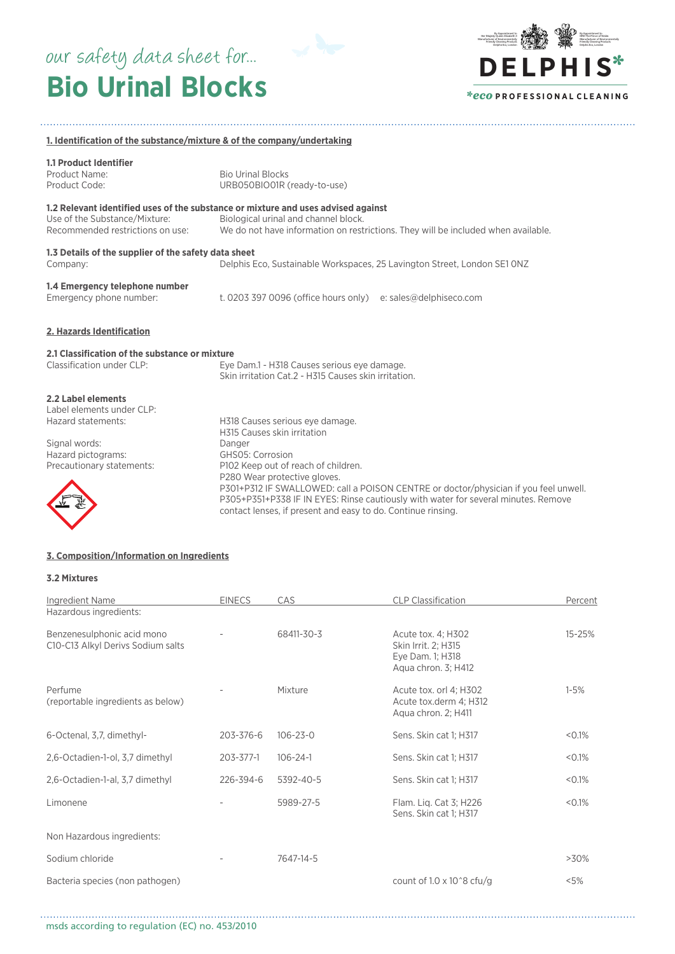# **Bio Urinal Blocks** our safety data sheet for...



| 1. Identification of the substance/mixture & of the company/undertaking                |                                                                                                                                                                                                                                                                                                                                       |  |  |
|----------------------------------------------------------------------------------------|---------------------------------------------------------------------------------------------------------------------------------------------------------------------------------------------------------------------------------------------------------------------------------------------------------------------------------------|--|--|
| <b>1.1 Product Identifier</b><br>Product Name:<br>Product Code:                        | <b>Bio Urinal Blocks</b><br>URB050BIO01R (ready-to-use)                                                                                                                                                                                                                                                                               |  |  |
| Use of the Substance/Mixture:<br>Recommended restrictions on use:                      | 1.2 Relevant identified uses of the substance or mixture and uses advised against<br>Biological urinal and channel block.<br>We do not have information on restrictions. They will be included when available.                                                                                                                        |  |  |
| 1.3 Details of the supplier of the safety data sheet<br>Company:                       | Delphis Eco, Sustainable Workspaces, 25 Lavington Street, London SE1 ONZ                                                                                                                                                                                                                                                              |  |  |
| 1.4 Emergency telephone number<br>Emergency phone number:                              | t. 0203 397 0096 (office hours only)<br>e: sales@delphiseco.com                                                                                                                                                                                                                                                                       |  |  |
| 2. Hazards Identification                                                              |                                                                                                                                                                                                                                                                                                                                       |  |  |
| 2.1 Classification of the substance or mixture<br>Classification under CLP:            | Eye Dam.1 - H318 Causes serious eye damage.<br>Skin irritation Cat.2 - H315 Causes skin irritation.                                                                                                                                                                                                                                   |  |  |
| 2.2 Label elements<br>Label elements under CLP:<br>Hazard statements:<br>Signal words: | H318 Causes serious eye damage.<br>H315 Causes skin irritation<br>Danger                                                                                                                                                                                                                                                              |  |  |
| Hazard pictograms:<br>Precautionary statements:                                        | GHS05: Corrosion<br>P102 Keep out of reach of children.<br>P280 Wear protective gloves.<br>P301+P312 IF SWALLOWED: call a POISON CENTRE or doctor/physician if you feel unwell.<br>P305+P351+P338 IF IN EYES: Rinse cautiously with water for several minutes. Remove<br>contact lenses, if present and easy to do. Continue rinsing. |  |  |

# **3. Composition/Information on Ingredients**

# **3.2 Mixtures**

| Ingredient Name                                                 | <b>EINECS</b> | CAS            | <b>CLP Classification</b>                                                            | Percent   |
|-----------------------------------------------------------------|---------------|----------------|--------------------------------------------------------------------------------------|-----------|
| Hazardous ingredients:                                          |               |                |                                                                                      |           |
| Benzenesulphonic acid mono<br>C10-C13 Alkyl Derivs Sodium salts |               | 68411-30-3     | Acute tox. 4; H302<br>Skin Irrit. 2; H315<br>Eye Dam. 1; H318<br>Aqua chron. 3; H412 | 15-25%    |
| Perfume<br>(reportable ingredients as below)                    |               | Mixture        | Acute tox. orl 4; H302<br>Acute tox.derm 4; H312<br>Aqua chron. 2; H411              | $1 - 5%$  |
| 6-Octenal, 3,7, dimethyl-                                       | 203-376-6     | $106 - 23 - 0$ | Sens. Skin cat 1; H317                                                               | $< 0.1\%$ |
| 2,6-Octadien-1-ol, 3,7 dimethyl                                 | 203-377-1     | $106 - 24 - 1$ | Sens. Skin cat 1; H317                                                               | $< 0.1\%$ |
| 2,6-Octadien-1-al, 3,7 dimethyl                                 | 226-394-6     | 5392-40-5      | Sens. Skin cat 1; H317                                                               | $< 0.1\%$ |
| Limonene                                                        |               | 5989-27-5      | Flam. Lig. Cat 3; H226<br>Sens. Skin cat 1; H317                                     | $< 0.1\%$ |
| Non Hazardous ingredients:                                      |               |                |                                                                                      |           |
| Sodium chloride                                                 |               | 7647-14-5      |                                                                                      | $>30\%$   |
| Bacteria species (non pathogen)                                 |               |                | count of $1.0 \times 10^8$ cfu/g                                                     | $< 5\%$   |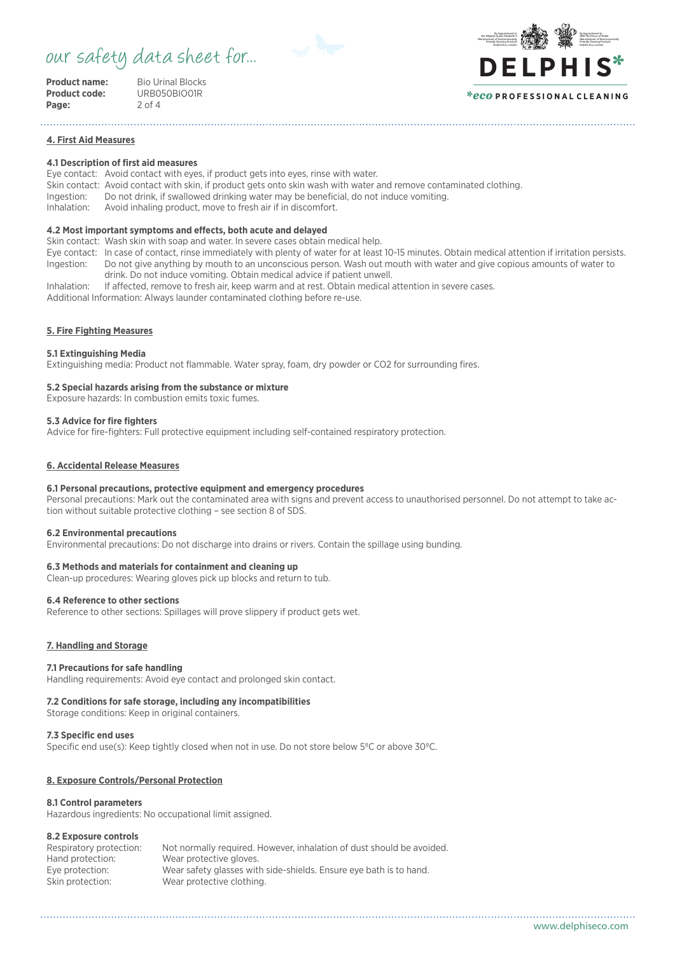# our safety data sheet for...



| <b>Product name:</b> |  |
|----------------------|--|
| <b>Product code:</b> |  |
| Page:                |  |

**Bio Urinal Blocks Product code:** URB050BIO01R **Page:** 2 of 4

#### By Appointment to **HRH The Prince of Wale** Manufacturer of Environmentally Friendly Cleaning Products Delphis Eco, London By Appointment to Her Majesty Queen Elizabeth I Manufacturer of Environmentally Friendly Cleaning Products Delphis Eco, London **DE LPHIS**\* *\*eco* **P R O F E S S I O N A L C L E A N I N G**

# **4. First Aid Measures**

# **4.1 Description of first aid measures**

Eye contact: Avoid contact with eyes, if product gets into eyes, rinse with water.

- Skin contact: Avoid contact with skin, if product gets onto skin wash with water and remove contaminated clothing.
- Ingestion: Do not drink, if swallowed drinking water may be beneficial, do not induce vomiting.

Avoid inhaling product, move to fresh air if in discomfort.

# **4.2 Most important symptoms and effects, both acute and delayed**

Skin contact: Wash skin with soap and water. In severe cases obtain medical help.

- Eye contact: In case of contact, rinse immediately with plenty of water for at least 10-15 minutes. Obtain medical attention if irritation persists. Ingestion: Do not give anything by mouth to an unconscious person. Wash out mouth with water and give copious amounts of water to drink. Do not induce vomiting. Obtain medical advice if patient unwell.
- Inhalation: If affected, remove to fresh air, keep warm and at rest. Obtain medical attention in severe cases.

Additional Information: Always launder contaminated clothing before re-use.

# **5. Fire Fighting Measures**

### **5.1 Extinguishing Media**

Extinguishing media: Product not flammable. Water spray, foam, dry powder or CO2 for surrounding fires.

# **5.2 Special hazards arising from the substance or mixture**

Exposure hazards: In combustion emits toxic fumes.

### **5.3 Advice for fire fighters**

Advice for fire-fighters: Full protective equipment including self-contained respiratory protection.

# **6. Accidental Release Measures**

### **6.1 Personal precautions, protective equipment and emergency procedures**

Personal precautions: Mark out the contaminated area with signs and prevent access to unauthorised personnel. Do not attempt to take action without suitable protective clothing – see section 8 of SDS.

### **6.2 Environmental precautions**

Environmental precautions: Do not discharge into drains or rivers. Contain the spillage using bunding.

# **6.3 Methods and materials for containment and cleaning up**

Clean-up procedures: Wearing gloves pick up blocks and return to tub.

### **6.4 Reference to other sections**

Reference to other sections: Spillages will prove slippery if product gets wet.

# **7. Handling and Storage**

### **7.1 Precautions for safe handling**

Handling requirements: Avoid eye contact and prolonged skin contact.

### **7.2 Conditions for safe storage, including any incompatibilities**

Storage conditions: Keep in original containers.

# **7.3 Specific end uses**

Specific end use(s): Keep tightly closed when not in use. Do not store below 5ºC or above 30ºC.

# **8. Exposure Controls/Personal Protection**

# **8.1 Control parameters**

Hazardous ingredients: No occupational limit assigned.

# **8.2 Exposure controls**

| Respiratory protection: | Not normally required. However, inhalation of dust should be avoided. |
|-------------------------|-----------------------------------------------------------------------|
| Hand protection:        | Wear protective gloves.                                               |
| Eye protection:         | Wear safety glasses with side-shields. Ensure eve bath is to hand.    |
| Skin protection:        | Wear protective clothing.                                             |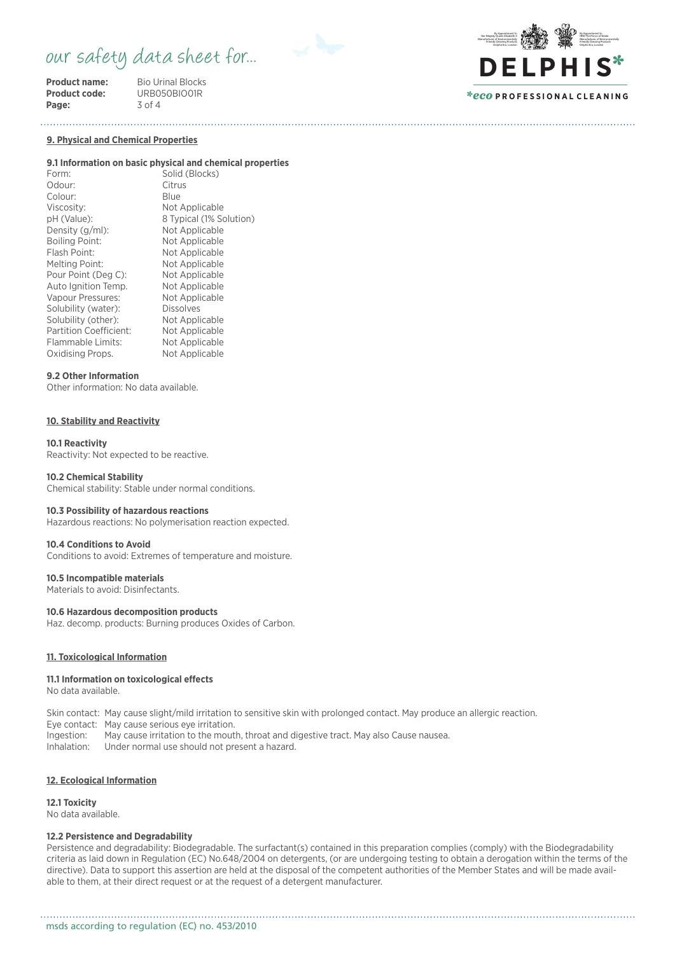# our safety data sheet for...

**Product name:** Bio Urinal Blocks<br> **Product code:** URB050BIO01R Page:

**PRODUCTE**<br>3 of 4



# *\*eco* **P R O F E S S I O N A L C L E A N I N G**

**9. Physical and Chemical Properties**

#### **9.1 Information on basic physical and chemical properties**

Form: Solid (Blocks) Odour: Citrus Colour: Blue<br>Viscosity: Not Not Applicable pH (Value): 8 Typical (1% Solution)<br>Density (g/ml): Not Applicable Density (g/ml):<br>Boiling Point: Boiling Point: Not Applicable<br>Flash Point: Not Applicable Not Applicable Melting Point: Not Applicable Pour Point (Deg C): Not Applicable Auto Ignition Temp.<br>
Vapour Pressures: Not Applicable Vapour Pressures: Not Applicable Solubility (water): Not Applicable Solubility (water): Solubility (other): Not Applicable Partition Coefficient: Not Applicable Flammable Limits: Not Applicable<br>Oxidising Props. Not Applicable Oxidising Props.

#### **9.2 Other Information**

Other information: No data available.

# **10. Stability and Reactivity**

# **10.1 Reactivity**

Reactivity: Not expected to be reactive.

#### **10.2 Chemical Stability**

Chemical stability: Stable under normal conditions.

# **10.3 Possibility of hazardous reactions**

Hazardous reactions: No polymerisation reaction expected.

#### **10.4 Conditions to Avoid**

Conditions to avoid: Extremes of temperature and moisture.

# **10.5 Incompatible materials**

Materials to avoid: Disinfectants.

#### **10.6 Hazardous decomposition products**

Haz. decomp. products: Burning produces Oxides of Carbon.

#### **11. Toxicological Information**

#### **11.1 Information on toxicological effects**

No data available.

Skin contact: May cause slight/mild irritation to sensitive skin with prolonged contact. May produce an allergic reaction.

Eye contact: May cause serious eye irritation.

Ingestion: May cause irritation to the mouth, throat and digestive tract. May also Cause nausea.

Inhalation: Under normal use should not present a hazard.

#### **12. Ecological Information**

# **12.1 Toxicity**

No data available.

# **12.2 Persistence and Degradability**

Persistence and degradability: Biodegradable. The surfactant(s) contained in this preparation complies (comply) with the Biodegradability criteria as laid down in Regulation (EC) No.648/2004 on detergents, (or are undergoing testing to obtain a derogation within the terms of the directive). Data to support this assertion are held at the disposal of the competent authorities of the Member States and will be made available to them, at their direct request or at the request of a detergent manufacturer.